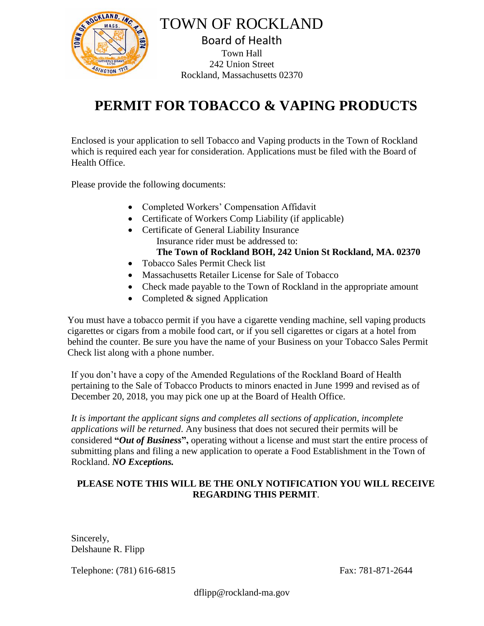

TOWN OF ROCKLAND Board of Health Town Hall 242 Union Street Rockland, Massachusetts 02370

## **PERMIT FOR TOBACCO & VAPING PRODUCTS**

Enclosed is your application to sell Tobacco and Vaping products in the Town of Rockland which is required each year for consideration. Applications must be filed with the Board of Health Office.

Please provide the following documents:

- Completed Workers' Compensation Affidavit
- Certificate of Workers Comp Liability (if applicable)
- Certificate of General Liability Insurance Insurance rider must be addressed to: **The Town of Rockland BOH, 242 Union St Rockland, MA. 02370**
- Tobacco Sales Permit Check list
- Massachusetts Retailer License for Sale of Tobacco
- Check made payable to the Town of Rockland in the appropriate amount
- Completed & signed Application

You must have a tobacco permit if you have a cigarette vending machine, sell vaping products cigarettes or cigars from a mobile food cart, or if you sell cigarettes or cigars at a hotel from behind the counter. Be sure you have the name of your Business on your Tobacco Sales Permit Check list along with a phone number.

If you don't have a copy of the Amended Regulations of the Rockland Board of Health pertaining to the Sale of Tobacco Products to minors enacted in June 1999 and revised as of December 20, 2018, you may pick one up at the Board of Health Office.

*It is important the applicant signs and completes all sections of application, incomplete applications will be returned*. Any business that does not secured their permits will be considered **"***Out of Business***",** operating without a license and must start the entire process of submitting plans and filing a new application to operate a Food Establishment in the Town of Rockland. *NO Exceptions.*

## **PLEASE NOTE THIS WILL BE THE ONLY NOTIFICATION YOU WILL RECEIVE REGARDING THIS PERMIT**.

Sincerely, Delshaune R. Flipp

Telephone: (781) 616-6815 Fax: 781-871-2644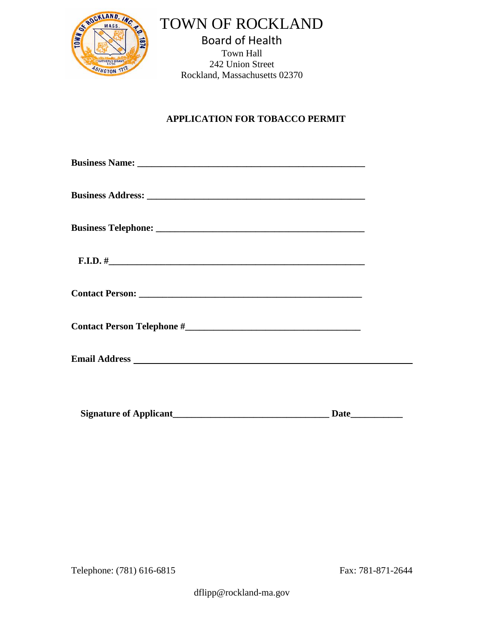

TOWN OF ROCKLAND

Board of Health Town Hall 242 Union Street Rockland, Massachusetts 02370

## **APPLICATION FOR TOBACCO PERMIT**

| <b>Signature of Applicant</b> |  |
|-------------------------------|--|

Telephone: (781) 616-6815 Fax: 781-871-2644